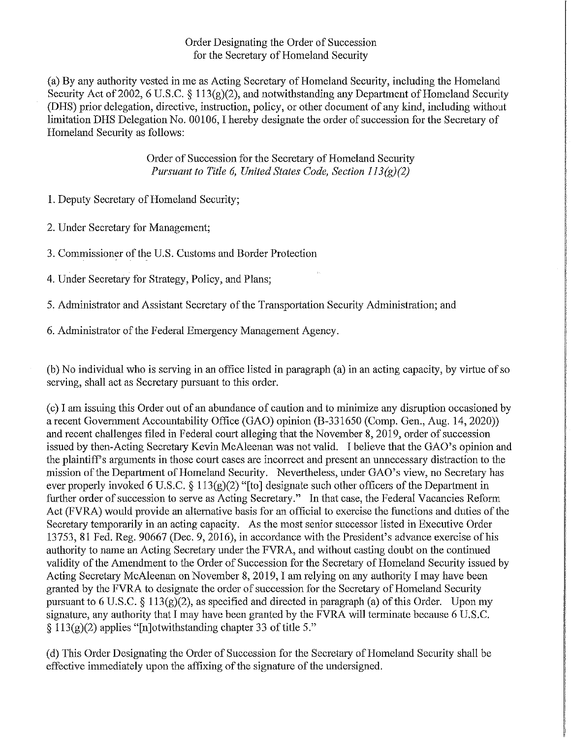## Order Designating the Order of Succession for the Secretary of Homeland Security

(a) By any authority vested in me as Acting Secretary of Homeland Security, including the Homeland Security Act of 2002, 6 U.S.C. § 113(g)(2), and notwithstanding any Department of Homeland Security (DHS) prior delegation, directive, instruction, policy, or other document of any kind, including without limitation DHS Delegation No. 00106, I hereby designate the order of succession for the Secretary of Homeland Security as follows:

> Order of Succession for the Secretary of Homeland Security *Pursuant to Title 6, United States Code, Section 113(g)(2)*

1. Deputy Secretary of Homeland Security;

2. Under Secretary for Management;

3. Commissioner of the U.S. Customs and Border Protection

4. Under Secretary for Strategy, Policy, and Plans;

5. Administrator and Assistant Secretary of the Transportation Security Administration; and

6. Administrator of the Federal Emergency Management Agency.

(b) No individual who is serving in an office listed in paragraph (a) in an acting capacity, by virtue ofso serving, shall act as Secretary pursuant to this order.

(c) I am issuing this Order out of an abundance of caution and to minimize any disruption occasioned by a recent Govermuent Accountability Office (GAO) opinion (B-331650 (Comp. Gen., Aug. 14, 2020)) and recent challenges filed in Federal court alleging that the November 8, 2019, order of succession issued by then-Acting Secretaty Kevin McAleenan was not valid. I believe that the GAO's opinion and the plaintiff's arguments in those court cases are incorrect and present an unnecessary distraction to the mission of the Department of Homeland Security. Nevertheless, under GAO's view, no Secretary has ever properly invoked 6 U.S.C.  $\S 113(g)(2)$  "[to] designate such other officers of the Department in further order of succession to serve as Acting Secretary." In that case, the Federal Vacancies Reform Act (FVRA) would provide an alternative basis for an official to exercise the functions and duties of the Secretary temporarily in an acting capacity. As the most senior successor listed in Executive Order 13753, 81 Fed. Reg. 90667 (Dec. 9, 2016), in accordance with the President's advance exercise of his authority to name an Acting Secretary under the FVRA, and without casting doubt on the continued validity of the Amendment to the Order of Succession for the Secretary of Homeland Security issued by Acting Secretary McAleenan on November 8, 2019, I am relying on any authority I may have been granted by the FVRA to designate the order of succession for the Secretary of Homeland Security pursuant to 6 U.S.C. § 113(g)(2), as specified and directed in paragraph (a) of this Order. Upon my signature, any authority that I may have been granted by the FVRA will terminate because 6 U.S.C.  $\S 113(g)(2)$  applies "[n]otwithstanding chapter 33 of title 5."

(d) This Order Designating the Order of Succession for the Secretary of Homeland Security shall be effective immediately upon the affixing of the signature of the undersigned.